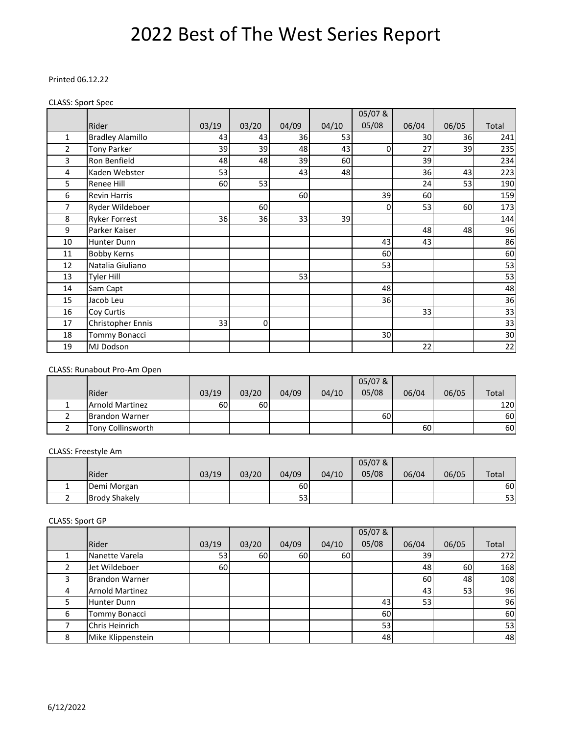#### Printed 06.12.22

#### CLASS: Sport Spec

|                |                         |       |       |       |       | 05/07&      |       |       |       |
|----------------|-------------------------|-------|-------|-------|-------|-------------|-------|-------|-------|
|                | Rider                   | 03/19 | 03/20 | 04/09 | 04/10 | 05/08       | 06/04 | 06/05 | Total |
| 1              | <b>Bradley Alamillo</b> | 43    | 43    | 36    | 53    |             | 30    | 36    | 241   |
| $\overline{2}$ | <b>Tony Parker</b>      | 39    | 39    | 48    | 43    | $\mathbf 0$ | 27    | 39    | 235   |
| 3              | Ron Benfield            | 48    | 48    | 39    | 60    |             | 39    |       | 234   |
| 4              | Kaden Webster           | 53    |       | 43    | 48    |             | 36    | 43    | 223   |
| 5              | Renee Hill              | 60    | 53    |       |       |             | 24    | 53    | 190   |
| 6              | <b>Revin Harris</b>     |       |       | 60    |       | 39          | 60    |       | 159   |
| 7              | Ryder Wildeboer         |       | 60    |       |       | $\Omega$    | 53    | 60    | 173   |
| 8              | <b>Ryker Forrest</b>    | 36    | 36    | 33    | 39    |             |       |       | 144   |
| 9              | Parker Kaiser           |       |       |       |       |             | 48    | 48    | 96    |
| 10             | Hunter Dunn             |       |       |       |       | 43          | 43    |       | 86    |
| 11             | <b>Bobby Kerns</b>      |       |       |       |       | 60          |       |       | 60    |
| 12             | Natalia Giuliano        |       |       |       |       | 53          |       |       | 53    |
| 13             | Tyler Hill              |       |       | 53    |       |             |       |       | 53    |
| 14             | Sam Capt                |       |       |       |       | 48          |       |       | 48    |
| 15             | Jacob Leu               |       |       |       |       | 36          |       |       | 36    |
| 16             | Coy Curtis              |       |       |       |       |             | 33    |       | 33    |
| 17             | Christopher Ennis       | 33    | 0     |       |       |             |       |       | 33    |
| 18             | Tommy Bonacci           |       |       |       |       | 30          |       |       | 30    |
| 19             | MJ Dodson               |       |       |       |       |             | 22    |       | 22    |

#### CLASS: Runabout Pro‐Am Open

|                        |       |       |       |       | 05/07 & |       |       |       |
|------------------------|-------|-------|-------|-------|---------|-------|-------|-------|
| Rider                  | 03/19 | 03/20 | 04/09 | 04/10 | 05/08   | 06/04 | 06/05 | Total |
| <b>Arnold Martinez</b> | 60    | 60    |       |       |         |       |       | 120   |
| <b>Brandon Warner</b>  |       |       |       |       | 60I     |       |       | 60    |
| Tony Collinsworth      |       |       |       |       |         | 60    |       | 60    |

#### CLASS: Freestyle Am

|                      |       |       |           |       | $05/07$ & |       |       |              |
|----------------------|-------|-------|-----------|-------|-----------|-------|-------|--------------|
| Rider                | 03/19 | 03/20 | 04/09     | 04/10 | 05/08     | 06/04 | 06/05 | <b>Total</b> |
| Demi Morgan          |       |       | <b>60</b> |       |           |       |       | 60           |
| <b>Brody Shakely</b> |       |       | 53        |       |           |       |       | 53           |

#### CLASS: Sport GP

|   |                        |       |       |       |       | 05/07& |       |       |       |
|---|------------------------|-------|-------|-------|-------|--------|-------|-------|-------|
|   | Rider                  | 03/19 | 03/20 | 04/09 | 04/10 | 05/08  | 06/04 | 06/05 | Total |
|   | Nanette Varela         | 53    | 60    | 60    | 60    |        | 39    |       | 272   |
|   | Jet Wildeboer          | 60    |       |       |       |        | 48    | 60    | 168   |
|   | <b>Brandon Warner</b>  |       |       |       |       |        | 60    | 48    | 108   |
|   | <b>Arnold Martinez</b> |       |       |       |       |        | 43    | 53    | 96    |
|   | <b>Hunter Dunn</b>     |       |       |       |       | 43     | 53    |       | 96    |
| 6 | Tommy Bonacci          |       |       |       |       | 60     |       |       | 60    |
|   | Chris Heinrich         |       |       |       |       | 53     |       |       | 53    |
| 8 | Mike Klippenstein      |       |       |       |       | 48     |       |       | 48    |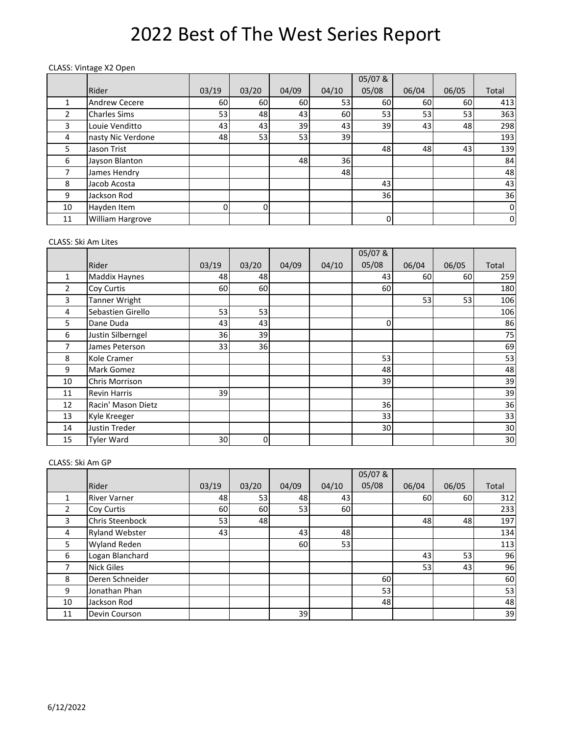#### CLASS: Vintage X2 Open

|               |                     |          |       |       |       | 05/07&    |       |                 |                |
|---------------|---------------------|----------|-------|-------|-------|-----------|-------|-----------------|----------------|
|               | Rider               | 03/19    | 03/20 | 04/09 | 04/10 | 05/08     | 06/04 | 06/05           | Total          |
|               | Andrew Cecere       | 60       | 60    | 60    | 53    | 60        | 60    | 60              | 413            |
| $\mathcal{P}$ | <b>Charles Sims</b> | 53       | 48    | 43    | 60    | 53        | 53    | 53 <sub>l</sub> | 363            |
| 3             | Louie Venditto      | 43       | 43    | 39    | 43    | 39        | 43    | 48              | 298            |
| 4             | nasty Nic Verdone   | 48       | 53    | 53    | 39    |           |       |                 | 193            |
| 5.            | Jason Trist         |          |       |       |       | 48        | 48    | 43              | 139            |
| 6             | Jayson Blanton      |          |       | 48    | 36    |           |       |                 | 84             |
|               | James Hendry        |          |       |       | 48    |           |       |                 | 48             |
| 8             | Jacob Acosta        |          |       |       |       | 43        |       |                 | 43             |
| 9             | Jackson Rod         |          |       |       |       | <b>36</b> |       |                 | 36             |
| 10            | Hayden Item         | $\Omega$ | ŋ     |       |       |           |       |                 | $\mathbf 0$    |
| 11            | William Hargrove    |          |       |       |       | 0         |       |                 | $\overline{0}$ |

#### CLASS: Ski Am Lites

|                |                      |       |       |       |       | 05/07& |       |       |       |
|----------------|----------------------|-------|-------|-------|-------|--------|-------|-------|-------|
|                | Rider                | 03/19 | 03/20 | 04/09 | 04/10 | 05/08  | 06/04 | 06/05 | Total |
| 1              | <b>Maddix Haynes</b> | 48    | 48    |       |       | 43     | 60    | 60I   | 259   |
| $\overline{2}$ | Coy Curtis           | 60    | 60    |       |       | 60     |       |       | 180   |
| 3              | <b>Tanner Wright</b> |       |       |       |       |        | 53    | 53    | 106   |
| 4              | Sebastien Girello    | 53    | 53    |       |       |        |       |       | 106   |
| 5              | Dane Duda            | 43    | 43    |       |       | 0      |       |       | 86    |
| 6              | Justin Silberngel    | 36    | 39    |       |       |        |       |       | 75    |
| 7              | James Peterson       | 33    | 36    |       |       |        |       |       | 69    |
| 8              | Kole Cramer          |       |       |       |       | 53     |       |       | 53    |
| 9              | Mark Gomez           |       |       |       |       | 48     |       |       | 48    |
| 10             | Chris Morrison       |       |       |       |       | 39     |       |       | 39    |
| 11             | <b>Revin Harris</b>  | 39    |       |       |       |        |       |       | 39    |
| 12             | Racin' Mason Dietz   |       |       |       |       | 36     |       |       | 36    |
| 13             | Kyle Kreeger         |       |       |       |       | 33     |       |       | 33    |
| 14             | <b>Justin Treder</b> |       |       |       |       | 30     |       |       | 30    |
| 15             | <b>Tyler Ward</b>    | 30    | 0     |       |       |        |       |       | 30    |

#### CLASS: Ski Am GP

|                |                       |       |       |                 |       | 05/07& |       |       |       |
|----------------|-----------------------|-------|-------|-----------------|-------|--------|-------|-------|-------|
|                | Rider                 | 03/19 | 03/20 | 04/09           | 04/10 | 05/08  | 06/04 | 06/05 | Total |
|                | <b>River Varner</b>   | 48    | 53    | 48              | 43    |        | 60    | 60    | 312   |
| $\overline{2}$ | Coy Curtis            | 60    | 60    | 53              | 60    |        |       |       | 233   |
| 3              | Chris Steenbock       | 53    | 48    |                 |       |        | 48    | 48    | 197   |
| 4              | <b>Ryland Webster</b> | 43    |       | 43 <sub>l</sub> | 48    |        |       |       | 134   |
| 5              | Wyland Reden          |       |       | 60              | 53    |        |       |       | 113   |
| 6              | Logan Blanchard       |       |       |                 |       |        | 43    | 53    | 96    |
|                | <b>Nick Giles</b>     |       |       |                 |       |        | 53    | 43    | 96    |
| 8              | Deren Schneider       |       |       |                 |       | 60     |       |       | 60    |
| 9              | Jonathan Phan         |       |       |                 |       | 53     |       |       | 53    |
| 10             | Jackson Rod           |       |       |                 |       | 48     |       |       | 48    |
| 11             | Devin Courson         |       |       | 39              |       |        |       |       | 39    |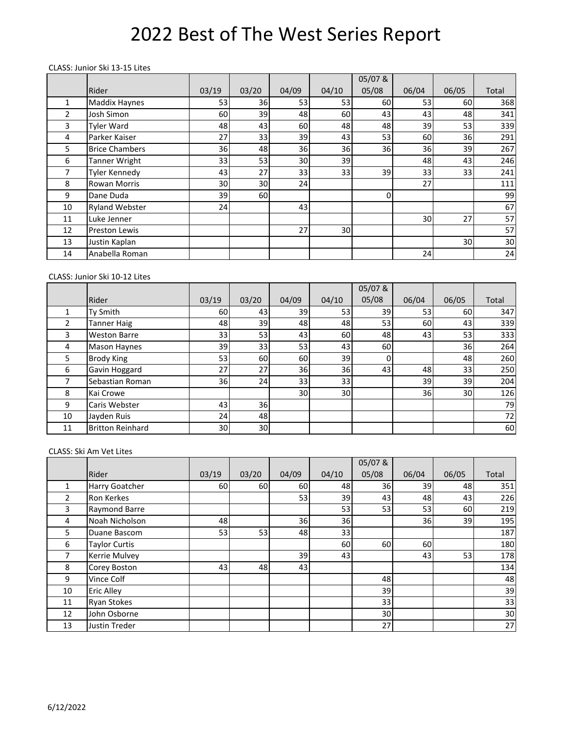#### CLASS: Junior Ski 13‐15 Lites

|    |                       |       |       |       |       | 05/07&   |                 |       |       |
|----|-----------------------|-------|-------|-------|-------|----------|-----------------|-------|-------|
|    | Rider                 | 03/19 | 03/20 | 04/09 | 04/10 | 05/08    | 06/04           | 06/05 | Total |
| 1  | <b>Maddix Haynes</b>  | 53    | 36    | 53    | 53    | 60       | 53              | 60    | 368   |
| 2  | Josh Simon            | 60    | 39    | 48    | 60    | 43       | 43 <sub>l</sub> | 48    | 341   |
| 3  | <b>Tyler Ward</b>     | 48    | 43    | 60    | 48    | 48       | 39              | 53    | 339   |
| 4  | Parker Kaiser         | 27    | 33    | 39    | 43    | 53       | 60              | 36    | 291   |
| 5  | <b>Brice Chambers</b> | 36    | 48    | 36    | 36    | 36       | 36              | 39    | 267   |
| 6  | Tanner Wright         | 33    | 53    | 30    | 39    |          | 48              | 43    | 246   |
| 7  | Tyler Kennedy         | 43    | 27    | 33    | 33    | 39       | 33              | 33    | 241   |
| 8  | <b>Rowan Morris</b>   | 30    | 30    | 24    |       |          | 27              |       | 111   |
| 9  | Dane Duda             | 39    | 60    |       |       | $\Omega$ |                 |       | 99    |
| 10 | <b>Ryland Webster</b> | 24    |       | 43    |       |          |                 |       | 67    |
| 11 | Luke Jenner           |       |       |       |       |          | 30              | 27    | 57    |
| 12 | Preston Lewis         |       |       | 27    | 30    |          |                 |       | 57    |
| 13 | Justin Kaplan         |       |       |       |       |          |                 | 30    | 30    |
| 14 | Anabella Roman        |       |       |       |       |          | 24              |       | 24    |

#### CLASS: Junior Ski 10‐12 Lites

|    |                         |       |       |       |       | 05/07&      |       |       |       |
|----|-------------------------|-------|-------|-------|-------|-------------|-------|-------|-------|
|    | Rider                   | 03/19 | 03/20 | 04/09 | 04/10 | 05/08       | 06/04 | 06/05 | Total |
|    | Ty Smith                | 60    | 43    | 39    | 53    | 39          | 53    | 60    | 347   |
| 2  | Tanner Haig             | 48    | 39    | 48    | 48    | 53          | 60    | 43    | 339   |
| 3  | <b>Weston Barre</b>     | 33    | 53    | 43    | 60    | 48          | 43    | 53    | 333   |
| 4  | <b>Mason Haynes</b>     | 39    | 33    | 53    | 43    | 60          |       | 36    | 264   |
| 5  | <b>Brody King</b>       | 53    | 60    | 60    | 39    | $\mathbf 0$ |       | 48    | 260   |
| 6  | Gavin Hoggard           | 27    | 27    | 36    | 36    | 43          | 48    | 33    | 250   |
|    | Sebastian Roman         | 36    | 24    | 33    | 33    |             | 39    | 39    | 204   |
| 8  | Kai Crowe               |       |       | 30    | 30    |             | 36    | 30    | 126   |
| 9  | Caris Webster           | 43    | 36    |       |       |             |       |       | 79    |
| 10 | Jayden Ruis             | 24    | 48    |       |       |             |       |       | 72    |
| 11 | <b>Britton Reinhard</b> | 30    | 30    |       |       |             |       |       | 60    |

#### CLASS: Ski Am Vet Lites

|    |                      |       |       |       |       | 05/07&    |       |       |       |
|----|----------------------|-------|-------|-------|-------|-----------|-------|-------|-------|
|    | Rider                | 03/19 | 03/20 | 04/09 | 04/10 | 05/08     | 06/04 | 06/05 | Total |
|    | Harry Goatcher       | 60I   | 60    | 60l   | 48    | <b>36</b> | 39    | 48    | 351   |
| 2  | <b>Ron Kerkes</b>    |       |       | 53    | 39    | 43        | 48    | 43    | 226   |
| 3  | Raymond Barre        |       |       |       | 53    | 53        | 53    | 60    | 219   |
| 4  | Noah Nicholson       | 48    |       | 36    | 36    |           | 36    | 39    | 195   |
| 5  | Duane Bascom         | 53    | 53    | 48    | 33    |           |       |       | 187   |
| 6  | <b>Taylor Curtis</b> |       |       |       | 60    | 60        | 60    |       | 180   |
| 7  | Kerrie Mulvey        |       |       | 39    | 43    |           | 43    | 53    | 178   |
| 8  | Corey Boston         | 43    | 48    | 43    |       |           |       |       | 134   |
| 9  | Vince Colf           |       |       |       |       | 48        |       |       | 48    |
| 10 | <b>Eric Alley</b>    |       |       |       |       | 39        |       |       | 39    |
| 11 | <b>Ryan Stokes</b>   |       |       |       |       | 33        |       |       | 33    |
| 12 | John Osborne         |       |       |       |       | 30        |       |       | 30    |
| 13 | Justin Treder        |       |       |       |       | 27        |       |       | 27    |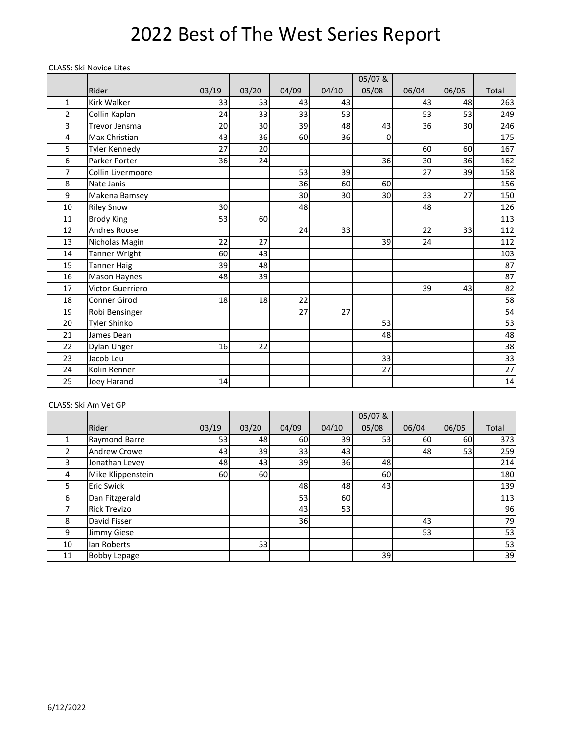#### CLASS: Ski Novice Lites

|                |                      |       |       |       |       | 05/07&   |       |       |                 |
|----------------|----------------------|-------|-------|-------|-------|----------|-------|-------|-----------------|
|                | Rider                | 03/19 | 03/20 | 04/09 | 04/10 | 05/08    | 06/04 | 06/05 | Total           |
| 1              | <b>Kirk Walker</b>   | 33    | 53    | 43    | 43    |          | 43    | 48    | 263             |
| $\overline{2}$ | Collin Kaplan        | 24    | 33    | 33    | 53    |          | 53    | 53    | 249             |
| 3              | Trevor Jensma        | 20    | 30    | 39    | 48    | 43       | 36    | 30    | 246             |
| 4              | Max Christian        | 43    | 36    | 60    | 36    | $\Omega$ |       |       | 175             |
| 5              | <b>Tyler Kennedy</b> | 27    | 20    |       |       |          | 60    | 60    | 167             |
| 6              | Parker Porter        | 36    | 24    |       |       | 36       | 30    | 36    | 162             |
| 7              | Collin Livermoore    |       |       | 53    | 39    |          | 27    | 39    | 158             |
| 8              | Nate Janis           |       |       | 36    | 60    | 60       |       |       | 156             |
| 9              | Makena Bamsey        |       |       | 30    | 30    | 30       | 33    | 27    | 150             |
| 10             | <b>Riley Snow</b>    | 30    |       | 48    |       |          | 48    |       | 126             |
| 11             | <b>Brody King</b>    | 53    | 60    |       |       |          |       |       | 113             |
| 12             | Andres Roose         |       |       | 24    | 33    |          | 22    | 33    | 112             |
| 13             | Nicholas Magin       | 22    | 27    |       |       | 39       | 24    |       | 112             |
| 14             | Tanner Wright        | 60    | 43    |       |       |          |       |       | 103             |
| 15             | <b>Tanner Haig</b>   | 39    | 48    |       |       |          |       |       | 87              |
| 16             | Mason Haynes         | 48    | 39    |       |       |          |       |       | 87              |
| 17             | Victor Guerriero     |       |       |       |       |          | 39    | 43    | 82              |
| 18             | <b>Conner Girod</b>  | 18    | 18    | 22    |       |          |       |       | 58              |
| 19             | Robi Bensinger       |       |       | 27    | 27    |          |       |       | 54              |
| 20             | Tyler Shinko         |       |       |       |       | 53       |       |       | 53              |
| 21             | James Dean           |       |       |       |       | 48       |       |       | 48              |
| 22             | Dylan Unger          | 16    | 22    |       |       |          |       |       | 38              |
| 23             | Jacob Leu            |       |       |       |       | 33       |       |       | 33              |
| 24             | Kolin Renner         |       |       |       |       | 27       |       |       | $\overline{27}$ |
| 25             | Joey Harand          | 14    |       |       |       |          |       |       | 14              |

#### CLASS: Ski Am Vet GP

|    |                     |       |       |           |       | 05/07& |                 |       |       |
|----|---------------------|-------|-------|-----------|-------|--------|-----------------|-------|-------|
|    | Rider               | 03/19 | 03/20 | 04/09     | 04/10 | 05/08  | 06/04           | 06/05 | Total |
|    | Raymond Barre       | 53    | 48    | <b>60</b> | 39    | 53     | 60              | 60I   | 373   |
| 2  | <b>Andrew Crowe</b> | 43    | 39    | 33        | 43    |        | 48              | 53    | 259   |
| 3  | Jonathan Levey      | 48    | 43    | 39        | 36    | 48     |                 |       | 214   |
| 4  | Mike Klippenstein   | 60    | 60    |           |       | 60     |                 |       | 180   |
| 5. | <b>Eric Swick</b>   |       |       | 48        | 48    | 43     |                 |       | 139   |
| 6  | Dan Fitzgerald      |       |       | 53        | 60    |        |                 |       | 113   |
|    | <b>Rick Trevizo</b> |       |       | 43        | 53    |        |                 |       | 96    |
| 8  | David Fisser        |       |       | 36        |       |        | 43 <sub>l</sub> |       | 79    |
| 9  | Jimmy Giese         |       |       |           |       |        | 53              |       | 53    |
| 10 | lan Roberts         |       | 53    |           |       |        |                 |       | 53    |
| 11 | <b>Bobby Lepage</b> |       |       |           |       | 39     |                 |       | 39    |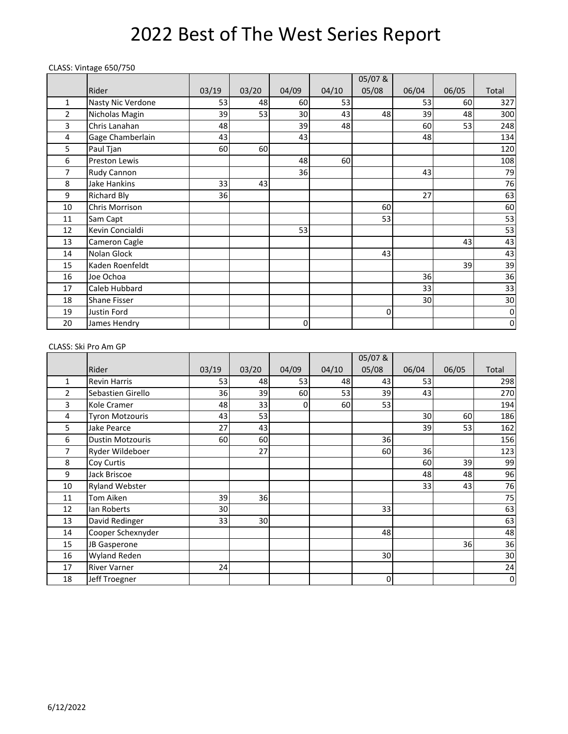#### CLASS: Vintage 650/750

|    |                      |       |       |       |       | 05/07&   |       |       |           |
|----|----------------------|-------|-------|-------|-------|----------|-------|-------|-----------|
|    | Rider                | 03/19 | 03/20 | 04/09 | 04/10 | 05/08    | 06/04 | 06/05 | Total     |
| 1  | Nasty Nic Verdone    | 53    | 48    | 60    | 53    |          | 53    | 60    | 327       |
| 2  | Nicholas Magin       | 39    | 53    | 30    | 43    | 48       | 39    | 48    | 300       |
| 3  | Chris Lanahan        | 48    |       | 39    | 48    |          | 60    | 53    | 248       |
| 4  | Gage Chamberlain     | 43    |       | 43    |       |          | 48    |       | 134       |
| 5  | Paul Tjan            | 60    | 60    |       |       |          |       |       | 120       |
| 6  | <b>Preston Lewis</b> |       |       | 48    | 60    |          |       |       | 108       |
| 7  | Rudy Cannon          |       |       | 36    |       |          | 43    |       | 79        |
| 8  | Jake Hankins         | 33    | 43    |       |       |          |       |       | 76        |
| 9  | <b>Richard Bly</b>   | 36    |       |       |       |          | 27    |       | 63        |
| 10 | Chris Morrison       |       |       |       |       | 60       |       |       | 60        |
| 11 | Sam Capt             |       |       |       |       | 53       |       |       | 53        |
| 12 | Kevin Concialdi      |       |       | 53    |       |          |       |       | 53        |
| 13 | Cameron Cagle        |       |       |       |       |          |       | 43    | 43        |
| 14 | Nolan Glock          |       |       |       |       | 43       |       |       | 43        |
| 15 | Kaden Roenfeldt      |       |       |       |       |          |       | 39    | 39        |
| 16 | Joe Ochoa            |       |       |       |       |          | 36    |       | 36        |
| 17 | Caleb Hubbard        |       |       |       |       |          | 33    |       | 33        |
| 18 | Shane Fisser         |       |       |       |       |          | 30    |       | 30        |
| 19 | Justin Ford          |       |       |       |       | $\Omega$ |       |       | $\pmb{0}$ |
| 20 | James Hendry         |       |       | 0     |       |          |       |       | $\pmb{0}$ |

### CLASS: Ski Pro Am GP

|                |                         |       |       |       |       | 05/07&      |       |       |           |
|----------------|-------------------------|-------|-------|-------|-------|-------------|-------|-------|-----------|
|                | Rider                   | 03/19 | 03/20 | 04/09 | 04/10 | 05/08       | 06/04 | 06/05 | Total     |
| 1              | <b>Revin Harris</b>     | 53    | 48    | 53    | 48    | 43          | 53    |       | 298       |
| $\overline{2}$ | Sebastien Girello       | 36    | 39    | 60    | 53    | 39          | 43    |       | 270       |
| 3              | Kole Cramer             | 48    | 33    | 0     | 60    | 53          |       |       | 194       |
| 4              | <b>Tyron Motzouris</b>  | 43    | 53    |       |       |             | 30    | 60    | 186       |
| 5              | <b>Jake Pearce</b>      | 27    | 43    |       |       |             | 39    | 53    | 162       |
| 6              | <b>Dustin Motzouris</b> | 60    | 60    |       |       | 36          |       |       | 156       |
| 7              | Ryder Wildeboer         |       | 27    |       |       | <b>60</b>   | 36    |       | 123       |
| 8              | Coy Curtis              |       |       |       |       |             | 60    | 39    | 99        |
| 9              | Jack Briscoe            |       |       |       |       |             | 48    | 48    | 96        |
| 10             | <b>Ryland Webster</b>   |       |       |       |       |             | 33    | 43    | 76        |
| 11             | <b>Tom Aiken</b>        | 39    | 36    |       |       |             |       |       | 75        |
| 12             | lan Roberts             | 30    |       |       |       | 33          |       |       | 63        |
| 13             | David Redinger          | 33    | 30    |       |       |             |       |       | 63        |
| 14             | Cooper Schexnyder       |       |       |       |       | 48          |       |       | 48        |
| 15             | JB Gasperone            |       |       |       |       |             |       | 36    | 36        |
| 16             | <b>Wyland Reden</b>     |       |       |       |       | 30          |       |       | 30        |
| 17             | <b>River Varner</b>     | 24    |       |       |       |             |       |       | 24        |
| 18             | Jeff Troegner           |       |       |       |       | $\mathbf 0$ |       |       | $\pmb{0}$ |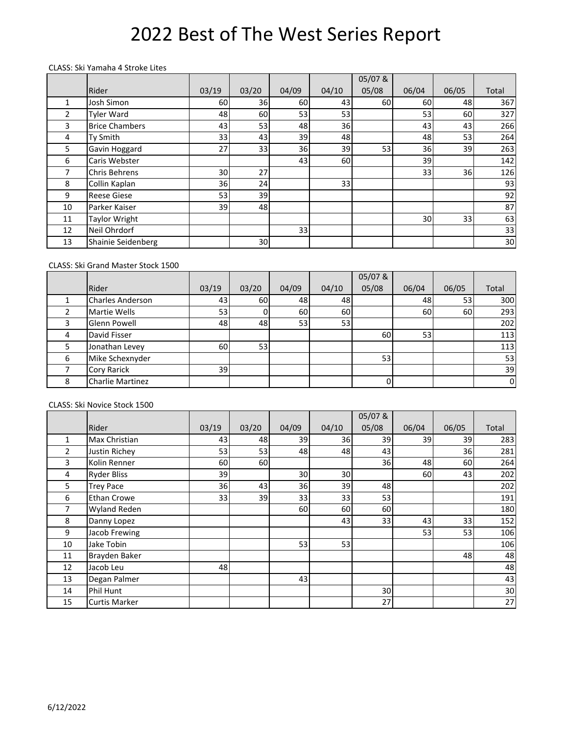#### CLASS: Ski Yamaha 4 Stroke Lites

|    |                       |       |       |       |       | 05/07 & |       |       |       |
|----|-----------------------|-------|-------|-------|-------|---------|-------|-------|-------|
|    | Rider                 | 03/19 | 03/20 | 04/09 | 04/10 | 05/08   | 06/04 | 06/05 | Total |
| 1  | Josh Simon            | 60    | 36    | 60l   | 43    | 60      | 60    | 48    | 367   |
| 2  | <b>Tyler Ward</b>     | 48    | 60    | 53    | 53    |         | 53    | 60    | 327   |
| 3  | <b>Brice Chambers</b> | 43    | 53    | 48    | 36    |         | 43    | 43    | 266   |
| 4  | Ty Smith              | 33    | 43    | 39    | 48    |         | 48    | 53    | 264   |
| 5. | Gavin Hoggard         | 27    | 33    | 36    | 39    | 53      | 36    | 39    | 263   |
| 6  | Caris Webster         |       |       | 43    | 60    |         | 39    |       | 142   |
| 7  | Chris Behrens         | 30    | 27    |       |       |         | 33    | 36    | 126   |
| 8  | Collin Kaplan         | 36    | 24    |       | 33    |         |       |       | 93    |
| 9  | <b>Reese Giese</b>    | 53    | 39    |       |       |         |       |       | 92    |
| 10 | Parker Kaiser         | 39    | 48    |       |       |         |       |       | 87    |
| 11 | <b>Taylor Wright</b>  |       |       |       |       |         | 30    | 33    | 63    |
| 12 | Neil Ohrdorf          |       |       | 33    |       |         |       |       | 33    |
| 13 | Shainie Seidenberg    |       | 30    |       |       |         |       |       | 30    |

### CLASS: Ski Grand Master Stock 1500

|   |                         |       |       |                 |       | 05/07& |       |       |                |
|---|-------------------------|-------|-------|-----------------|-------|--------|-------|-------|----------------|
|   | Rider                   | 03/19 | 03/20 | 04/09           | 04/10 | 05/08  | 06/04 | 06/05 | Total          |
|   | <b>Charles Anderson</b> | 43    | 60    | 48              | 48    |        | 48    | 53    | 300            |
|   | Martie Wells            | 53    |       | 60              | 60    |        | 60    | 60    | 293            |
| າ | Glenn Powell            | 48    | 48    | 53 <sub>l</sub> | 53    |        |       |       | 202            |
| 4 | David Fisser            |       |       |                 |       | 60     | 53    |       | 113            |
|   | Jonathan Levey          | 60    | 53    |                 |       |        |       |       | 113            |
| 6 | Mike Schexnyder         |       |       |                 |       | 53     |       |       | 53             |
|   | <b>Cory Rarick</b>      | 39    |       |                 |       |        |       |       | 39             |
| 8 | <b>Charlie Martinez</b> |       |       |                 |       |        |       |       | $\overline{0}$ |

#### CLASS: Ski Novice Stock 1500

|                |                      |       |       |       |       | 05/07& |       |       |       |
|----------------|----------------------|-------|-------|-------|-------|--------|-------|-------|-------|
|                | Rider                | 03/19 | 03/20 | 04/09 | 04/10 | 05/08  | 06/04 | 06/05 | Total |
| 1              | Max Christian        | 43    | 48    | 39    | 36    | 39     | 39    | 39    | 283   |
| 2              | Justin Richey        | 53    | 53    | 48    | 48    | 43     |       | 36    | 281   |
| 3              | Kolin Renner         | 60    | 60    |       |       | 36     | 48    | 60    | 264   |
| 4              | <b>Ryder Bliss</b>   | 39    |       | 30    | 30    |        | 60    | 43    | 202   |
| 5              | <b>Trey Pace</b>     | 36    | 43    | 36    | 39    | 48     |       |       | 202   |
| 6              | <b>Ethan Crowe</b>   | 33    | 39    | 33    | 33    | 53     |       |       | 191   |
| $\overline{7}$ | <b>Wyland Reden</b>  |       |       | 60    | 60    | 60     |       |       | 180   |
| 8              | Danny Lopez          |       |       |       | 43    | 33     | 43    | 33    | 152   |
| 9              | Jacob Frewing        |       |       |       |       |        | 53    | 53    | 106   |
| 10             | Jake Tobin           |       |       | 53    | 53    |        |       |       | 106   |
| 11             | Brayden Baker        |       |       |       |       |        |       | 48    | 48    |
| 12             | Jacob Leu            | 48    |       |       |       |        |       |       | 48    |
| 13             | Degan Palmer         |       |       | 43    |       |        |       |       | 43    |
| 14             | Phil Hunt            |       |       |       |       | 30     |       |       | 30    |
| 15             | <b>Curtis Marker</b> |       |       |       |       | 27     |       |       | 27    |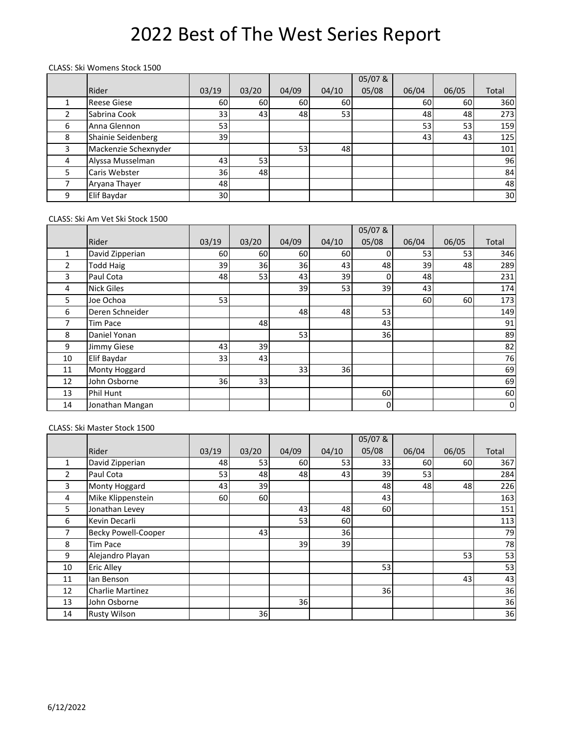#### CLASS: Ski Womens Stock 1500

|   |                      |       |       |       |       | 05/07& |                 |       |       |
|---|----------------------|-------|-------|-------|-------|--------|-----------------|-------|-------|
|   | Rider                | 03/19 | 03/20 | 04/09 | 04/10 | 05/08  | 06/04           | 06/05 | Total |
|   | <b>Reese Giese</b>   | 60    | 60    | 60l   | 60    |        | 60              | 60    | 360   |
|   | Sabrina Cook         | 33    | 43    | 48    | 53    |        | 48              | 48    | 273   |
| 6 | Anna Glennon         | 53    |       |       |       |        | 53              | 53    | 159   |
| 8 | Shainie Seidenberg   | 39    |       |       |       |        | 43 <sub>l</sub> | 43    | 125   |
| 3 | Mackenzie Schexnyder |       |       | 53    | 48    |        |                 |       | 101   |
| 4 | Alyssa Musselman     | 43    | 53    |       |       |        |                 |       | 96    |
| 5 | Caris Webster        | 36    | 48    |       |       |        |                 |       | 84    |
|   | Aryana Thayer        | 48    |       |       |       |        |                 |       | 48    |
| 9 | Elif Baydar          | 30    |       |       |       |        |                 |       | 30    |

#### CLASS: Ski Am Vet Ski Stock 1500

|                |                   |       |       |           |       | 05/07&         |       |       |                |
|----------------|-------------------|-------|-------|-----------|-------|----------------|-------|-------|----------------|
|                | Rider             | 03/19 | 03/20 | 04/09     | 04/10 | 05/08          | 06/04 | 06/05 | Total          |
| 1              | David Zipperian   | 60    | 60    | <b>60</b> | 60    | 0              | 53    | 53    | 346            |
| $\overline{2}$ | <b>Todd Haig</b>  | 39    | 36    | 36        | 43    | 48             | 39    | 48    | 289            |
| 3              | Paul Cota         | 48    | 53    | 43        | 39    | 0              | 48    |       | 231            |
| 4              | <b>Nick Giles</b> |       |       | 39        | 53    | 39             | 43    |       | 174            |
| 5              | Joe Ochoa         | 53    |       |           |       |                | 60    | 60    | 173            |
| 6              | Deren Schneider   |       |       | 48        | 48    | 53             |       |       | 149            |
| 7              | <b>Tim Pace</b>   |       | 48    |           |       | 43             |       |       | 91             |
| 8              | Daniel Yonan      |       |       | 53        |       | 36             |       |       | 89             |
| 9              | Jimmy Giese       | 43    | 39    |           |       |                |       |       | 82             |
| 10             | Elif Baydar       | 33    | 43    |           |       |                |       |       | 76             |
| 11             | Monty Hoggard     |       |       | 33        | 36    |                |       |       | 69             |
| 12             | John Osborne      | 36    | 33    |           |       |                |       |       | 69             |
| 13             | Phil Hunt         |       |       |           |       | 60             |       |       | 60             |
| 14             | Jonathan Mangan   |       |       |           |       | $\overline{0}$ |       |       | $\overline{0}$ |

### CLASS: Ski Master Stock 1500

|    |                            |       |       |       |       | 05/07& |       |       |       |
|----|----------------------------|-------|-------|-------|-------|--------|-------|-------|-------|
|    | Rider                      | 03/19 | 03/20 | 04/09 | 04/10 | 05/08  | 06/04 | 06/05 | Total |
|    | David Zipperian            | 48    | 53    | 60    | 53    | 33     | 60    | 60    | 367   |
| 2  | Paul Cota                  | 53    | 48    | 48    | 43    | 39     | 53    |       | 284   |
| 3  | Monty Hoggard              | 43    | 39    |       |       | 48     | 48    | 48    | 226   |
| 4  | Mike Klippenstein          | 60    | 60    |       |       | 43     |       |       | 163   |
| 5  | Jonathan Levey             |       |       | 43    | 48    | 60     |       |       | 151   |
| 6  | Kevin Decarli              |       |       | 53    | 60    |        |       |       | 113   |
| 7  | <b>Becky Powell-Cooper</b> |       | 43    |       | 36    |        |       |       | 79    |
| 8  | <b>Tim Pace</b>            |       |       | 39    | 39    |        |       |       | 78    |
| 9  | Alejandro Playan           |       |       |       |       |        |       | 53    | 53    |
| 10 | <b>Eric Alley</b>          |       |       |       |       | 53     |       |       | 53    |
| 11 | lan Benson                 |       |       |       |       |        |       | 43    | 43    |
| 12 | <b>Charlie Martinez</b>    |       |       |       |       | 36     |       |       | 36    |
| 13 | John Osborne               |       |       | 36    |       |        |       |       | 36    |
| 14 | <b>Rusty Wilson</b>        |       | 36    |       |       |        |       |       | 36    |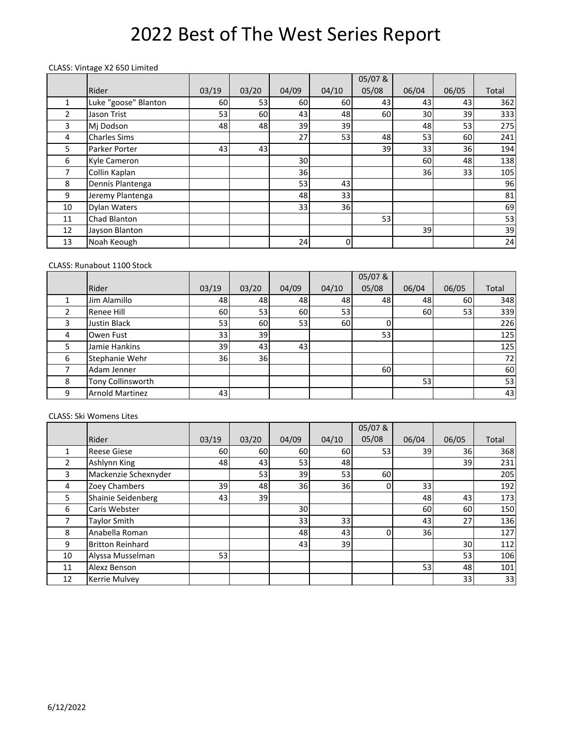#### CLASS: Vintage X2 650 Limited

|    |                      |       |       |       |       | 05/07&          |       |       |       |
|----|----------------------|-------|-------|-------|-------|-----------------|-------|-------|-------|
|    | Rider                | 03/19 | 03/20 | 04/09 | 04/10 | 05/08           | 06/04 | 06/05 | Total |
| 1  | Luke "goose" Blanton | 60    | 53    | 60    | 60    | 43 <sub>l</sub> | 43    | 43    | 362   |
| 2  | Jason Trist          | 53    | 60    | 43    | 48    | 60              | 30    | 39    | 333   |
| 3  | Mj Dodson            | 48    | 48    | 39    | 39    |                 | 48    | 53    | 275   |
| 4  | <b>Charles Sims</b>  |       |       | 27    | 53    | 48              | 53    | 60    | 241   |
| 5. | Parker Porter        | 43    | 43    |       |       | 39              | 33    | 36    | 194   |
| 6  | Kyle Cameron         |       |       | 30    |       |                 | 60    | 48    | 138   |
| 7  | Collin Kaplan        |       |       | 36    |       |                 | 36    | 33    | 105   |
| 8  | Dennis Plantenga     |       |       | 53    | 43    |                 |       |       | 96    |
| 9  | Jeremy Plantenga     |       |       | 48    | 33    |                 |       |       | 81    |
| 10 | Dylan Waters         |       |       | 33    | 36    |                 |       |       | 69    |
| 11 | Chad Blanton         |       |       |       |       | 53              |       |       | 53    |
| 12 | Jayson Blanton       |       |       |       |       |                 | 39    |       | 39    |
| 13 | Noah Keough          |       |       | 24    | 0     |                 |       |       | 24    |

### CLASS: Runabout 1100 Stock

|   |                        |       |                 |       |       | 05/07& |       |       |       |
|---|------------------------|-------|-----------------|-------|-------|--------|-------|-------|-------|
|   | Rider                  | 03/19 | 03/20           | 04/09 | 04/10 | 05/08  | 06/04 | 06/05 | Total |
|   | Jim Alamillo           | 48    | 48              | 48    | 48    | 48     | 48    | 60    | 348   |
| າ | Renee Hill             | 60    | 53              | 60    | 53    |        | 60    | 53    | 339   |
| 3 | Justin Black           | 53    | 60              | 53    | 60    |        |       |       | 226   |
| 4 | Owen Fust              | 33    | 39              |       |       | 53     |       |       | 125   |
| 5 | Jamie Hankins          | 39    | 43 <sub>l</sub> | 43    |       |        |       |       | 125   |
| 6 | Stephanie Wehr         | 36    | 36I             |       |       |        |       |       | 72    |
|   | Adam Jenner            |       |                 |       |       | 60     |       |       | 60    |
| 8 | Tony Collinsworth      |       |                 |       |       |        | 53    |       | 53    |
| 9 | <b>Arnold Martinez</b> | 43    |                 |       |       |        |       |       | 43    |

#### CLASS: Ski Womens Lites

|    |                         |       |       |       |       | 05/07&         |       |       |       |
|----|-------------------------|-------|-------|-------|-------|----------------|-------|-------|-------|
|    | Rider                   | 03/19 | 03/20 | 04/09 | 04/10 | 05/08          | 06/04 | 06/05 | Total |
|    | <b>Reese Giese</b>      | 60    | 60    | 60    | 60    | 53             | 39    | 36I   | 368   |
| 2  | Ashlynn King            | 48    | 43    | 53    | 48    |                |       | 39    | 231   |
| 3  | Mackenzie Schexnyder    |       | 53    | 39    | 53    | 60             |       |       | 205   |
| 4  | Zoey Chambers           | 39    | 48    | 36    | 36    | $\overline{0}$ | 33    |       | 192   |
| 5  | Shainie Seidenberg      | 43    | 39    |       |       |                | 48    | 43    | 173   |
| 6  | Caris Webster           |       |       | 30    |       |                | 60    | 60    | 150   |
|    | Taylor Smith            |       |       | 33    | 33    |                | 43    | 27    | 136   |
| 8  | Anabella Roman          |       |       | 48    | 43    | $\Omega$       | 36    |       | 127   |
| 9  | <b>Britton Reinhard</b> |       |       | 43    | 39    |                |       | 30    | 112   |
| 10 | Alyssa Musselman        | 53    |       |       |       |                |       | 53    | 106   |
| 11 | Alexz Benson            |       |       |       |       |                | 53    | 48    | 101   |
| 12 | Kerrie Mulvey           |       |       |       |       |                |       | 33    | 33    |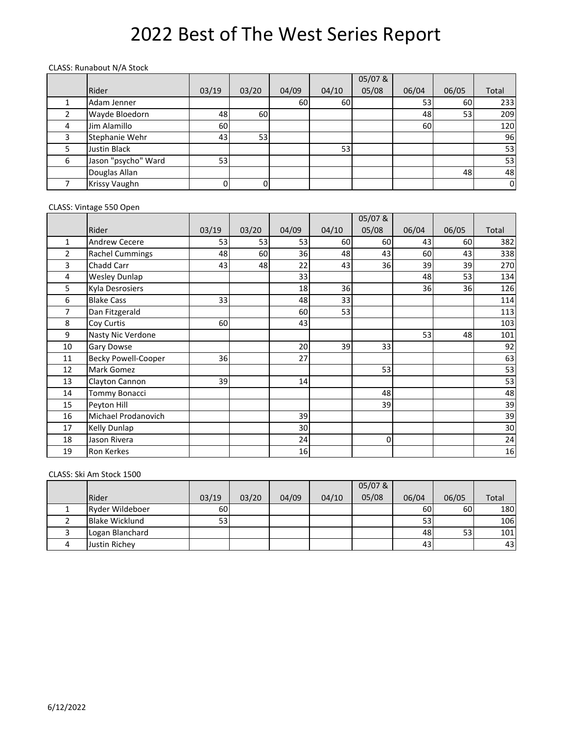#### CLASS: Runabout N/A Stock

|   |                     |       |       |       |       | 05/07& |       |       |       |
|---|---------------------|-------|-------|-------|-------|--------|-------|-------|-------|
|   | Rider               | 03/19 | 03/20 | 04/09 | 04/10 | 05/08  | 06/04 | 06/05 | Total |
|   | Adam Jenner         |       |       | 60    | 60    |        | 53    | 60    | 233   |
|   | Wayde Bloedorn      | 48    | 60    |       |       |        | 48    | 53    | 209   |
| 4 | Jim Alamillo        | 60    |       |       |       |        | 60    |       | 120   |
|   | Stephanie Wehr      | 43    | 53    |       |       |        |       |       | 96    |
|   | <b>Justin Black</b> |       |       |       | 53    |        |       |       | 53    |
| 6 | Jason "psycho" Ward | 53    |       |       |       |        |       |       | 53    |
|   | Douglas Allan       |       |       |       |       |        |       | 48    | 48    |
|   | Krissy Vaughn       | 0     |       |       |       |        |       |       | 0I    |

#### CLASS: Vintage 550 Open

|              |                            |       |       |       |       | 05/07 &     |       |       |       |
|--------------|----------------------------|-------|-------|-------|-------|-------------|-------|-------|-------|
|              | Rider                      | 03/19 | 03/20 | 04/09 | 04/10 | 05/08       | 06/04 | 06/05 | Total |
| $\mathbf{1}$ | Andrew Cecere              | 53    | 53    | 53    | 60    | 60          | 43    | 60    | 382   |
| 2            | <b>Rachel Cummings</b>     | 48    | 60    | 36    | 48    | 43          | 60    | 43    | 338   |
| 3            | Chadd Carr                 | 43    | 48    | 22    | 43    | 36          | 39    | 39    | 270   |
| 4            | <b>Wesley Dunlap</b>       |       |       | 33    |       |             | 48    | 53    | 134   |
| 5            | Kyla Desrosiers            |       |       | 18    | 36    |             | 36    | 36    | 126   |
| 6            | <b>Blake Cass</b>          | 33    |       | 48    | 33    |             |       |       | 114   |
| 7            | Dan Fitzgerald             |       |       | 60    | 53    |             |       |       | 113   |
| 8            | Coy Curtis                 | 60    |       | 43    |       |             |       |       | 103   |
| 9            | Nasty Nic Verdone          |       |       |       |       |             | 53    | 48    | 101   |
| 10           | Gary Dowse                 |       |       | 20    | 39    | 33          |       |       | 92    |
| 11           | <b>Becky Powell-Cooper</b> | 36    |       | 27    |       |             |       |       | 63    |
| 12           | Mark Gomez                 |       |       |       |       | 53          |       |       | 53    |
| 13           | Clayton Cannon             | 39    |       | 14    |       |             |       |       | 53    |
| 14           | <b>Tommy Bonacci</b>       |       |       |       |       | 48          |       |       | 48    |
| 15           | Peyton Hill                |       |       |       |       | 39          |       |       | 39    |
| 16           | Michael Prodanovich        |       |       | 39    |       |             |       |       | 39    |
| 17           | Kelly Dunlap               |       |       | 30    |       |             |       |       | 30    |
| 18           | Jason Rivera               |       |       | 24    |       | $\mathbf 0$ |       |       | 24    |
| 19           | <b>Ron Kerkes</b>          |       |       | 16    |       |             |       |       | 16    |

#### CLASS: Ski Am Stock 1500

|                        |                 |       |       |       | 05/07& |       |       |       |
|------------------------|-----------------|-------|-------|-------|--------|-------|-------|-------|
| Rider                  | 03/19           | 03/20 | 04/09 | 04/10 | 05/08  | 06/04 | 06/05 | Total |
| <b>Ryder Wildeboer</b> | 60I             |       |       |       |        | 60    | 60    | 180   |
| <b>Blake Wicklund</b>  | 53 <sub>l</sub> |       |       |       |        | 53    |       | 106   |
| Logan Blanchard        |                 |       |       |       |        | 48    | 53    | 101   |
| Justin Richey          |                 |       |       |       |        | 43    |       | 43    |